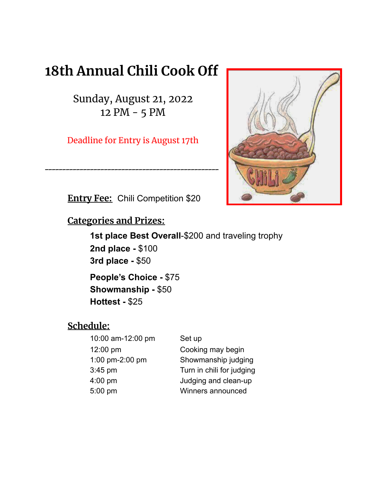# **18th Annual Chili Cook Off**

Sunday, August 21, 2022 12 PM - 5 PM

Deadline for Entry is August 17th

\_\_\_\_\_\_\_\_\_\_\_\_\_\_\_\_\_\_\_\_\_\_\_\_\_\_\_\_\_\_\_\_\_\_\_\_\_\_\_\_\_\_\_\_\_\_\_\_\_\_



**Entry Fee:** Chili Competition \$20

**Categories and Prizes:**

**1st place Best Overall**-\$200 and traveling trophy **2nd place -** \$100 **3rd place -** \$50

**People's Choice -** \$75 **Showmanship -** \$50 **Hottest -** \$25

# **Schedule:**

| 10:00 am-12:00 pm | Set up                    |
|-------------------|---------------------------|
| 12:00 pm          | Cooking may begin         |
| 1:00 pm-2:00 pm   | Showmanship judging       |
| 3:45 pm           | Turn in chili for judging |
| 4:00 pm           | Judging and clean-up      |
| 5:00 pm           | Winners announced         |
|                   |                           |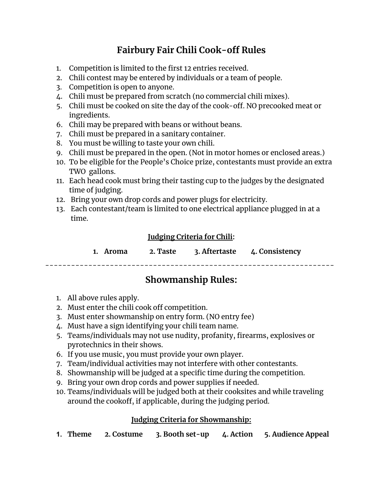# **Fairbury Fair Chili Cook-off Rules**

- 1. Competition is limited to the first 12 entries received.
- 2. Chili contest may be entered by individuals or a team of people.
- 3. Competition is open to anyone.
- 4. Chili must be prepared from scratch (no commercial chili mixes).
- 5. Chili must be cooked on site the day of the cook-off. NO precooked meat or ingredients.
- 6. Chili may be prepared with beans or without beans.
- 7. Chili must be prepared in a sanitary container.
- 8. You must be willing to taste your own chili.
- 9. Chili must be prepared in the open. (Not in motor homes or enclosed areas.)
- 10. To be eligible for the People's Choice prize, contestants must provide an extra TWO gallons.
- 11. Each head cook must bring their tasting cup to the judges by the designated time of judging.
- 12. Bring your own drop cords and power plugs for electricity.
- 13. Each contestant/team is limited to one electrical appliance plugged in at a time.

#### **Judging Criteria for Chili:**

|  | 1. Aroma | 2. Taste | 3. Aftertaste | 4. Consistency |
|--|----------|----------|---------------|----------------|
|--|----------|----------|---------------|----------------|

## **Showmanship Rules:**

-------------------------------------------------------------------

- 1. All above rules apply.
- 2. Must enter the chili cook off competition.
- 3. Must enter showmanship on entry form. (NO entry fee)
- 4. Must have a sign identifying your chili team name.
- 5. Teams/individuals may not use nudity, profanity, firearms, explosives or pyrotechnics in their shows.
- 6. If you use music, you must provide your own player.
- 7. Team/individual activities may not interfere with other contestants.
- 8. Showmanship will be judged at a specific time during the competition.
- 9. Bring your own drop cords and power supplies if needed.
- 10. Teams/individuals will be judged both at their cooksites and while traveling around the cookoff, if applicable, during the judging period.

#### **Judging Criteria for Showmanship:**

**1. Theme 2. Costume 3. Booth set-up 4. Action 5. Audience Appeal**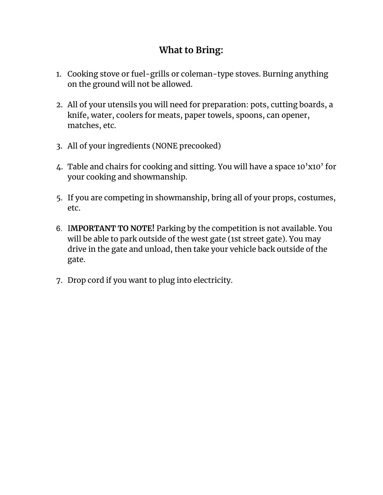# **What to Bring:**

- 1. Cooking stove or fuel-grills or coleman-type stoves. Burning anything on the ground will not be allowed.
- 2. All of your utensils you will need for preparation: pots, cutting boards, a knife, water, coolers for meats, paper towels, spoons, can opener, matches, etc.
- 3. All of your ingredients (NONE precooked)
- 4. Table and chairs for cooking and sitting. You will have a space 10'x10' for your cooking and showmanship.
- 5. If you are competing in showmanship, bring all of your props, costumes, etc.
- 6. I**MPORTANT TO NOTE!** Parking by the competition is not available. You will be able to park outside of the west gate (1st street gate). You may drive in the gate and unload, then take your vehicle back outside of the gate.
- 7. Drop cord if you want to plug into electricity.